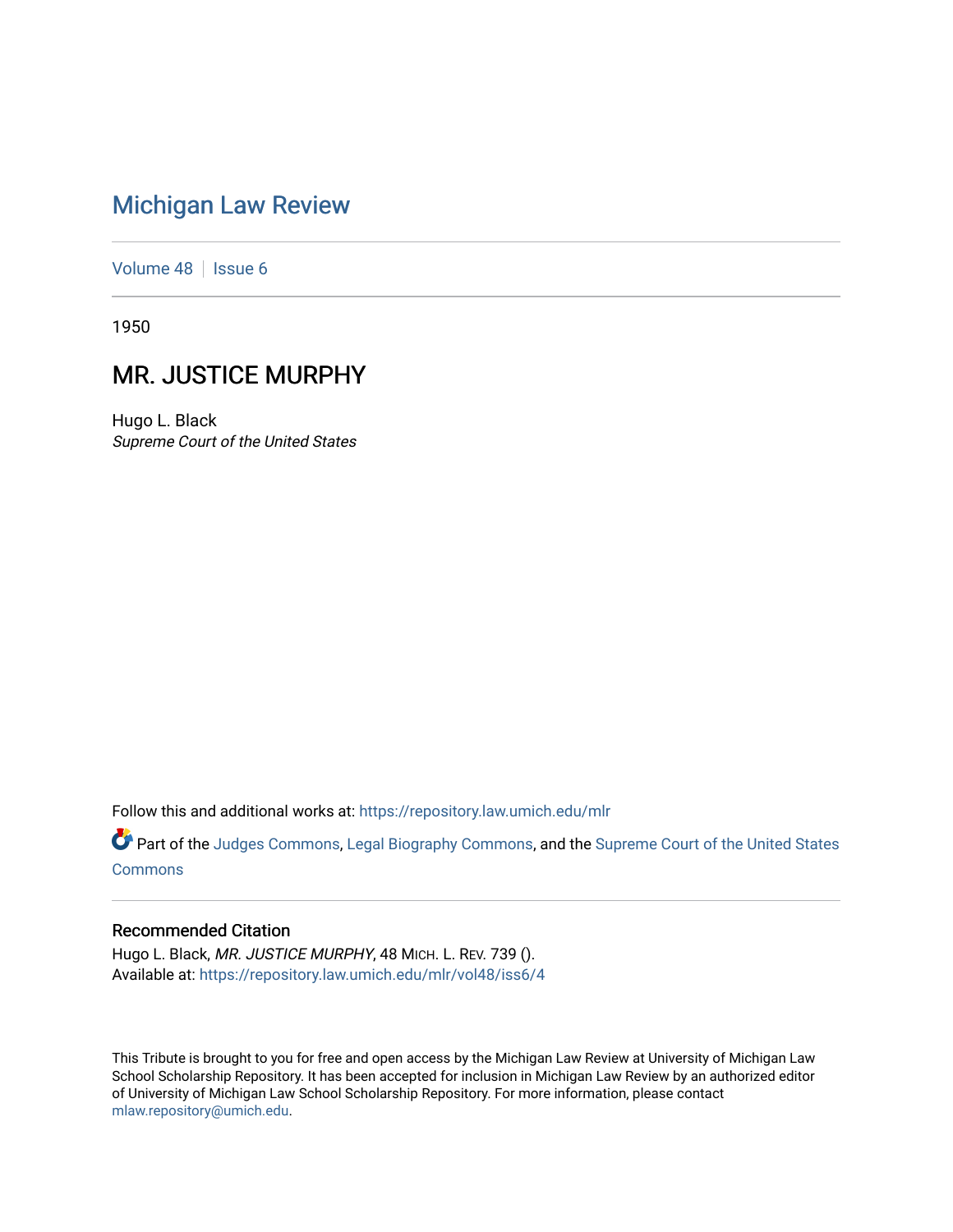## [Michigan Law Review](https://repository.law.umich.edu/mlr)

[Volume 48](https://repository.law.umich.edu/mlr/vol48) | [Issue 6](https://repository.law.umich.edu/mlr/vol48/iss6)

1950

## MR. JUSTICE MURPHY

Hugo L. Black Supreme Court of the United States

Follow this and additional works at: [https://repository.law.umich.edu/mlr](https://repository.law.umich.edu/mlr?utm_source=repository.law.umich.edu%2Fmlr%2Fvol48%2Fiss6%2F4&utm_medium=PDF&utm_campaign=PDFCoverPages) 

Part of the [Judges Commons,](http://network.bepress.com/hgg/discipline/849?utm_source=repository.law.umich.edu%2Fmlr%2Fvol48%2Fiss6%2F4&utm_medium=PDF&utm_campaign=PDFCoverPages) [Legal Biography Commons,](http://network.bepress.com/hgg/discipline/834?utm_source=repository.law.umich.edu%2Fmlr%2Fvol48%2Fiss6%2F4&utm_medium=PDF&utm_campaign=PDFCoverPages) and the Supreme Court of the United States **[Commons](http://network.bepress.com/hgg/discipline/1350?utm_source=repository.law.umich.edu%2Fmlr%2Fvol48%2Fiss6%2F4&utm_medium=PDF&utm_campaign=PDFCoverPages)** 

## Recommended Citation

Hugo L. Black, MR. JUSTICE MURPHY, 48 MICH. L. REV. 739 (). Available at: [https://repository.law.umich.edu/mlr/vol48/iss6/4](https://repository.law.umich.edu/mlr/vol48/iss6/4?utm_source=repository.law.umich.edu%2Fmlr%2Fvol48%2Fiss6%2F4&utm_medium=PDF&utm_campaign=PDFCoverPages)

This Tribute is brought to you for free and open access by the Michigan Law Review at University of Michigan Law School Scholarship Repository. It has been accepted for inclusion in Michigan Law Review by an authorized editor of University of Michigan Law School Scholarship Repository. For more information, please contact [mlaw.repository@umich.edu.](mailto:mlaw.repository@umich.edu)